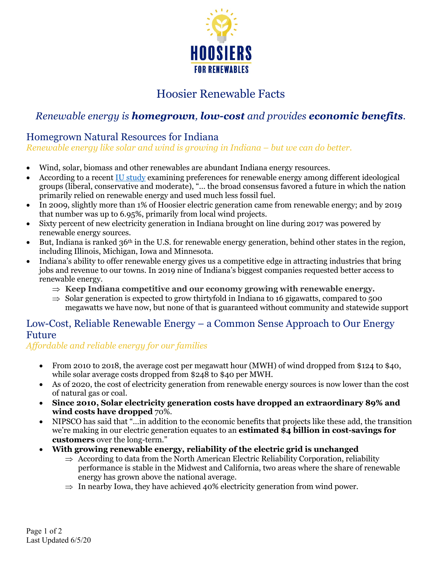

# Hoosier Renewable Facts

## *Renewable energy is homegrown, low-cost and provides economic benefits.*

#### Homegrown Natural Resources for Indiana

*Renewable energy like solar and wind is growing in Indiana – but we can do better.*

- Wind, solar, biomass and other renewables are abundant Indiana energy resources.
- According to a recent IU study examining preferences for renewable energy among different ideological groups (liberal, conservative and moderate), "… the broad consensus favored a future in which the nation primarily relied on renewable energy and used much less fossil fuel.
- In 2009, slightly more than 1% of Hoosier electric generation came from renewable energy; and by 2019 that number was up to 6.95%, primarily from local wind projects.
- Sixty percent of new electricity generation in Indiana brought on line during 2017 was powered by renewable energy sources.
- But, Indiana is ranked  $36<sup>th</sup>$  in the U.S. for renewable energy generation, behind other states in the region, including Illinois, Michigan, Iowa and Minnesota.
- Indiana's ability to offer renewable energy gives us a competitive edge in attracting industries that bring jobs and revenue to our towns. In 2019 nine of Indiana's biggest companies requested better access to renewable energy.
	- $\Rightarrow$  Keep Indiana competitive and our economy growing with renewable energy.
	- $\Rightarrow$  Solar generation is expected to grow thirtyfold in Indiana to 16 gigawatts, compared to 500 megawatts we have now, but none of that is guaranteed without community and statewide support

### Low-Cost, Reliable Renewable Energy – a Common Sense Approach to Our Energy Future

*Affordable and reliable energy for our families*

- From 2010 to 2018, the average cost per megawatt hour (MWH) of wind dropped from \$124 to \$40, while solar average costs dropped from \$248 to \$40 per MWH.
- As of 2020, the cost of electricity generation from renewable energy sources is now lower than the cost of natural gas or coal.
- **Since 2010, Solar electricity generation costs have dropped an extraordinary 89% and wind costs have dropped** 70%.
- NIPSCO has said that "…in addition to the economic benefits that projects like these add, the transition we're making in our electric generation equates to an **estimated \$4 billion in cost-savings for customers** over the long-term."
- **With growing renewable energy, reliability of the electric grid is unchanged**
	- $\Rightarrow$  According to data from the North American Electric Reliability Corporation, reliability performance is stable in the Midwest and California, two areas where the share of renewable energy has grown above the national average.
	- $\Rightarrow$  In nearby Iowa, they have achieved 40% electricity generation from wind power.